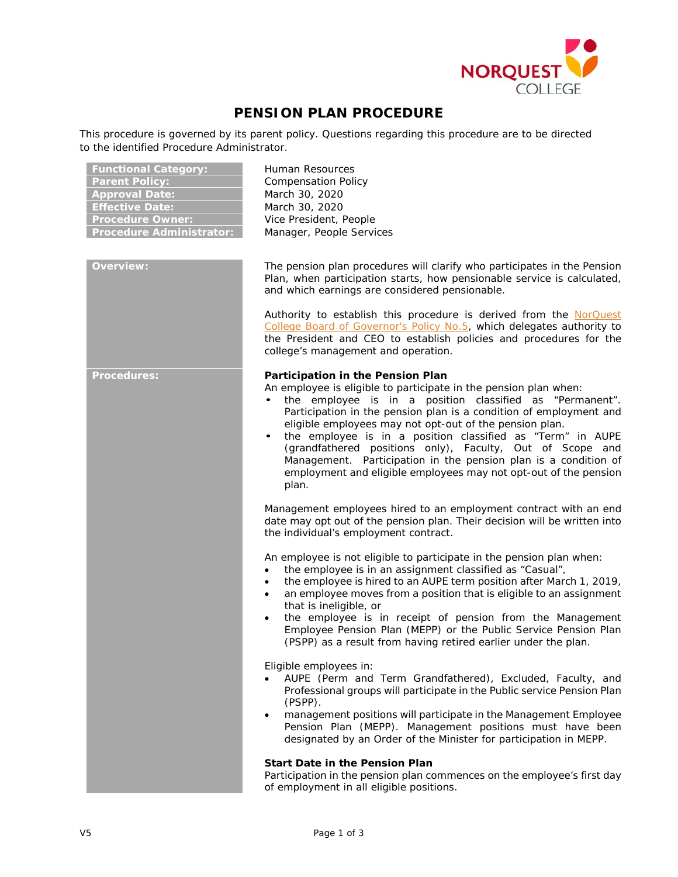

## **PENSION PLAN PROCEDURE**

This procedure is governed by its parent policy. Questions regarding this procedure are to be directed to the identified Procedure Administrator.

| <b>Functional Category:</b><br><b>Parent Policy:</b><br><b>Approval Date:</b><br><b>Effective Date:</b><br><b>Procedure Owner:</b><br><b>Procedure Administrator:</b> | Human Resources<br><b>Compensation Policy</b><br>March 30, 2020<br>March 30, 2020<br>Vice President, People<br>Manager, People Services                                                                                                                                                                                                                                                                                                                                                                                                                                                         |
|-----------------------------------------------------------------------------------------------------------------------------------------------------------------------|-------------------------------------------------------------------------------------------------------------------------------------------------------------------------------------------------------------------------------------------------------------------------------------------------------------------------------------------------------------------------------------------------------------------------------------------------------------------------------------------------------------------------------------------------------------------------------------------------|
| <b>Overview:</b>                                                                                                                                                      | The pension plan procedures will clarify who participates in the Pension<br>Plan, when participation starts, how pensionable service is calculated,<br>and which earnings are considered pensionable.                                                                                                                                                                                                                                                                                                                                                                                           |
|                                                                                                                                                                       | Authority to establish this procedure is derived from the NorQuest<br>College Board of Governor's Policy No.5, which delegates authority to<br>the President and CEO to establish policies and procedures for the<br>college's management and operation.                                                                                                                                                                                                                                                                                                                                        |
| <b>Procedures:</b>                                                                                                                                                    | Participation in the Pension Plan<br>An employee is eligible to participate in the pension plan when:<br>the employee is in a position classified as "Permanent".<br>$\bullet$<br>Participation in the pension plan is a condition of employment and<br>eligible employees may not opt-out of the pension plan.<br>the employee is in a position classified as "Term" in AUPE<br>٠<br>(grandfathered positions only), Faculty, Out of Scope and<br>Management. Participation in the pension plan is a condition of<br>employment and eligible employees may not opt-out of the pension<br>plan. |
|                                                                                                                                                                       | Management employees hired to an employment contract with an end<br>date may opt out of the pension plan. Their decision will be written into<br>the individual's employment contract.                                                                                                                                                                                                                                                                                                                                                                                                          |
|                                                                                                                                                                       | An employee is not eligible to participate in the pension plan when:<br>the employee is in an assignment classified as "Casual",<br>$\bullet$<br>the employee is hired to an AUPE term position after March 1, 2019,<br>$\bullet$<br>an employee moves from a position that is eligible to an assignment<br>$\bullet$<br>that is ineligible, or<br>the employee is in receipt of pension from the Management<br>$\bullet$<br>Employee Pension Plan (MEPP) or the Public Service Pension Plan<br>(PSPP) as a result from having retired earlier under the plan.                                  |
|                                                                                                                                                                       | Eligible employees in:<br>AUPE (Perm and Term Grandfathered), Excluded, Faculty, and<br>Professional groups will participate in the Public service Pension Plan<br>(PSPP).<br>management positions will participate in the Management Employee<br>$\bullet$<br>Pension Plan (MEPP). Management positions must have been<br>designated by an Order of the Minister for participation in MEPP.                                                                                                                                                                                                    |
|                                                                                                                                                                       | <b>Start Date in the Pension Plan</b><br>Participation in the pension plan commences on the employee's first day<br>of employment in all eligible positions.                                                                                                                                                                                                                                                                                                                                                                                                                                    |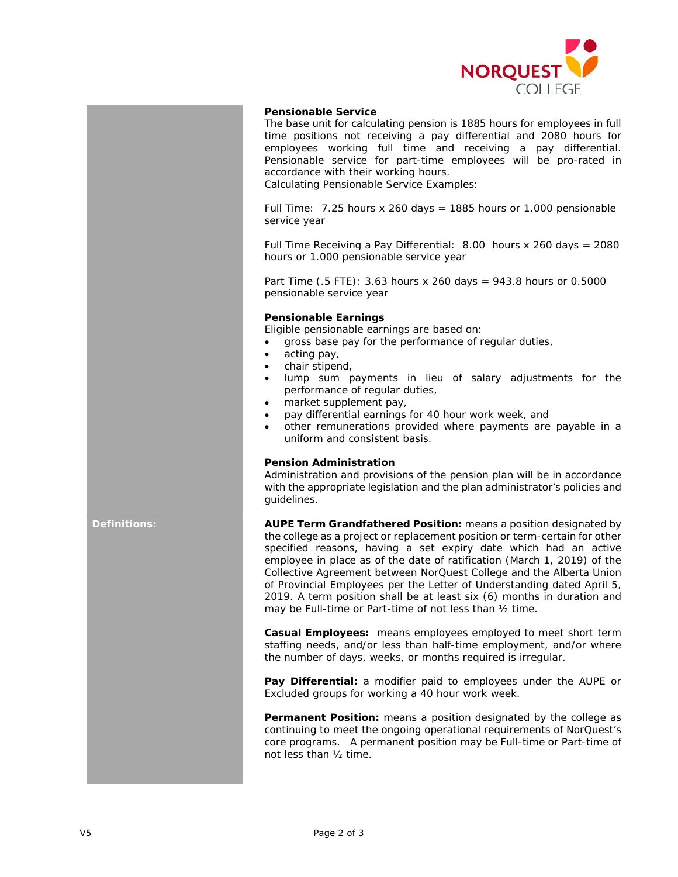

## **Pensionable Service**

The base unit for calculating pension is 1885 hours for employees in full time positions not receiving a pay differential and 2080 hours for employees working full time and receiving a pay differential. Pensionable service for part-time employees will be pro-rated in accordance with their working hours.

Calculating Pensionable Service Examples:

Full Time:  $7.25$  hours x 260 days = 1885 hours or 1.000 pensionable service year

Full Time Receiving a Pay Differential: 8.00 hours x 260 days = 2080 hours or 1.000 pensionable service year

Part Time (.5 FTE): 3.63 hours x 260 days = 943.8 hours or 0.5000 pensionable service year

## **Pensionable Earnings**

Eligible pensionable earnings are based on:

- gross base pay for the performance of regular duties,
- acting pay,
- chair stipend,
- lump sum payments in lieu of salary adjustments for the performance of regular duties,
- market supplement pay,
- pay differential earnings for 40 hour work week, and
- other remunerations provided where payments are payable in a uniform and consistent basis.

## **Pension Administration**

Administration and provisions of the pension plan will be in accordance with the appropriate legislation and the plan administrator's policies and guidelines.

**Definitions: AUPE Term Grandfathered Position:** means a position designated by the college as a project or replacement position or term-certain for other specified reasons, having a set expiry date which had an active employee in place as of the date of ratification (March 1, 2019) of the Collective Agreement between NorQuest College and the Alberta Union of Provincial Employees per the Letter of Understanding dated April 5, 2019. A term position shall be at least six (6) months in duration and may be Full-time or Part-time of not less than ½ time.

> **Casual Employees:** means employees employed to meet short term staffing needs, and/or less than half-time employment, and/or where the number of days, weeks, or months required is irregular.

> **Pay Differential:** a modifier paid to employees under the AUPE or Excluded groups for working a 40 hour work week.

> **Permanent Position:** means a position designated by the college as continuing to meet the ongoing operational requirements of NorQuest's core programs. A permanent position may be Full-time or Part-time of not less than ½ time.